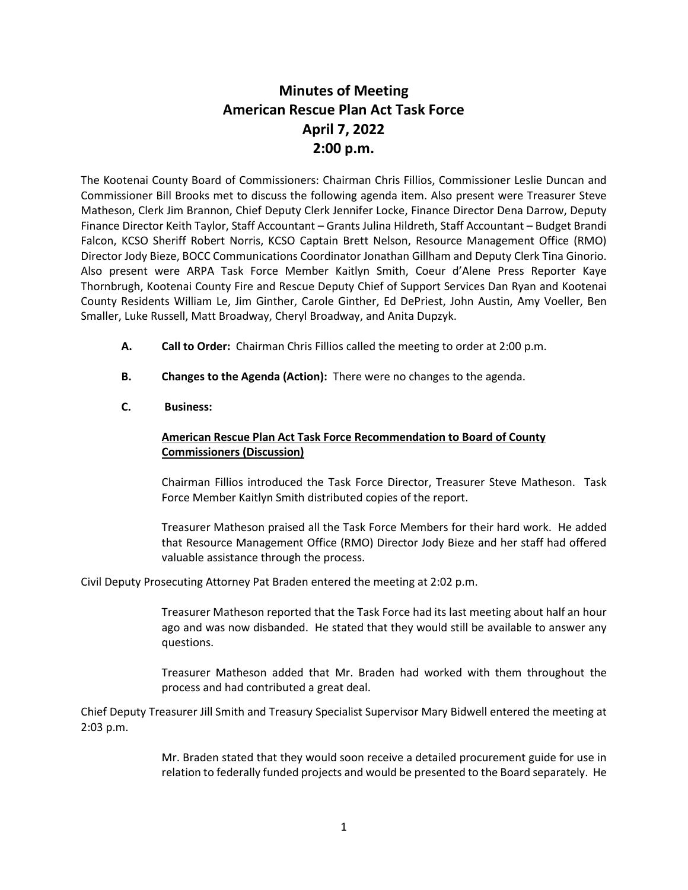## **Minutes of Meeting American Rescue Plan Act Task Force April 7, 2022 2:00 p.m.**

The Kootenai County Board of Commissioners: Chairman Chris Fillios, Commissioner Leslie Duncan and Commissioner Bill Brooks met to discuss the following agenda item. Also present were Treasurer Steve Matheson, Clerk Jim Brannon, Chief Deputy Clerk Jennifer Locke, Finance Director Dena Darrow, Deputy Finance Director Keith Taylor, Staff Accountant – Grants Julina Hildreth, Staff Accountant – Budget Brandi Falcon, KCSO Sheriff Robert Norris, KCSO Captain Brett Nelson, Resource Management Office (RMO) Director Jody Bieze, BOCC Communications Coordinator Jonathan Gillham and Deputy Clerk Tina Ginorio. Also present were ARPA Task Force Member Kaitlyn Smith, Coeur d'Alene Press Reporter Kaye Thornbrugh, Kootenai County Fire and Rescue Deputy Chief of Support Services Dan Ryan and Kootenai County Residents William Le, Jim Ginther, Carole Ginther, Ed DePriest, John Austin, Amy Voeller, Ben Smaller, Luke Russell, Matt Broadway, Cheryl Broadway, and Anita Dupzyk.

- **A. Call to Order:** Chairman Chris Fillios called the meeting to order at 2:00 p.m.
- **B. Changes to the Agenda (Action):** There were no changes to the agenda.
- **C. Business:**

## **American Rescue Plan Act Task Force Recommendation to Board of County Commissioners (Discussion)**

Chairman Fillios introduced the Task Force Director, Treasurer Steve Matheson. Task Force Member Kaitlyn Smith distributed copies of the report.

Treasurer Matheson praised all the Task Force Members for their hard work. He added that Resource Management Office (RMO) Director Jody Bieze and her staff had offered valuable assistance through the process.

Civil Deputy Prosecuting Attorney Pat Braden entered the meeting at 2:02 p.m.

Treasurer Matheson reported that the Task Force had its last meeting about half an hour ago and was now disbanded. He stated that they would still be available to answer any questions.

Treasurer Matheson added that Mr. Braden had worked with them throughout the process and had contributed a great deal.

Chief Deputy Treasurer Jill Smith and Treasury Specialist Supervisor Mary Bidwell entered the meeting at 2:03 p.m.

> Mr. Braden stated that they would soon receive a detailed procurement guide for use in relation to federally funded projects and would be presented to the Board separately. He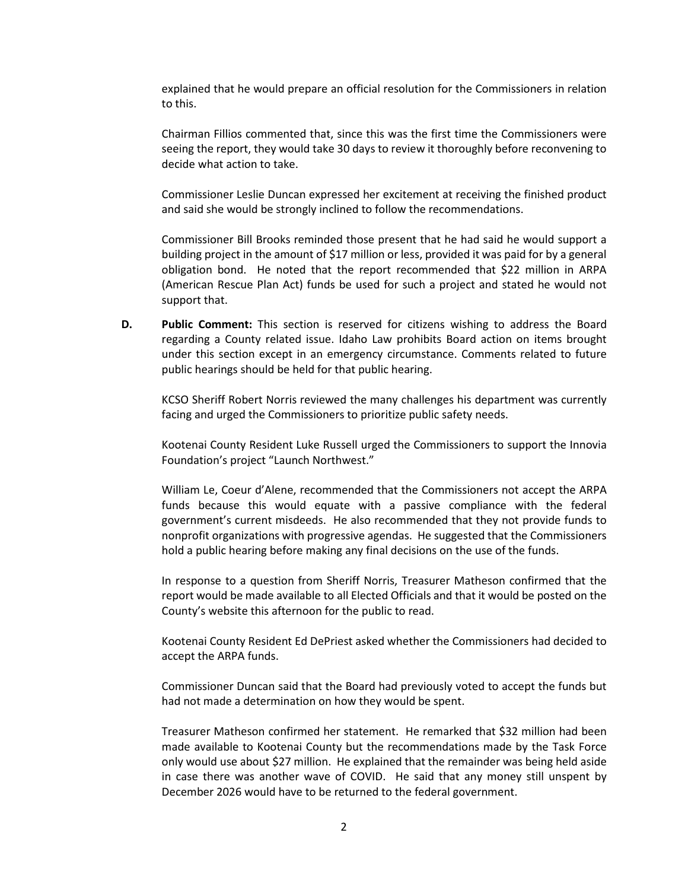explained that he would prepare an official resolution for the Commissioners in relation to this.

Chairman Fillios commented that, since this was the first time the Commissioners were seeing the report, they would take 30 days to review it thoroughly before reconvening to decide what action to take.

Commissioner Leslie Duncan expressed her excitement at receiving the finished product and said she would be strongly inclined to follow the recommendations.

Commissioner Bill Brooks reminded those present that he had said he would support a building project in the amount of \$17 million or less, provided it was paid for by a general obligation bond. He noted that the report recommended that \$22 million in ARPA (American Rescue Plan Act) funds be used for such a project and stated he would not support that.

**D. Public Comment:** This section is reserved for citizens wishing to address the Board regarding a County related issue. Idaho Law prohibits Board action on items brought under this section except in an emergency circumstance. Comments related to future public hearings should be held for that public hearing.

KCSO Sheriff Robert Norris reviewed the many challenges his department was currently facing and urged the Commissioners to prioritize public safety needs.

Kootenai County Resident Luke Russell urged the Commissioners to support the Innovia Foundation's project "Launch Northwest."

William Le, Coeur d'Alene, recommended that the Commissioners not accept the ARPA funds because this would equate with a passive compliance with the federal government's current misdeeds. He also recommended that they not provide funds to nonprofit organizations with progressive agendas. He suggested that the Commissioners hold a public hearing before making any final decisions on the use of the funds.

In response to a question from Sheriff Norris, Treasurer Matheson confirmed that the report would be made available to all Elected Officials and that it would be posted on the County's website this afternoon for the public to read.

Kootenai County Resident Ed DePriest asked whether the Commissioners had decided to accept the ARPA funds.

Commissioner Duncan said that the Board had previously voted to accept the funds but had not made a determination on how they would be spent.

Treasurer Matheson confirmed her statement. He remarked that \$32 million had been made available to Kootenai County but the recommendations made by the Task Force only would use about \$27 million. He explained that the remainder was being held aside in case there was another wave of COVID. He said that any money still unspent by December 2026 would have to be returned to the federal government.